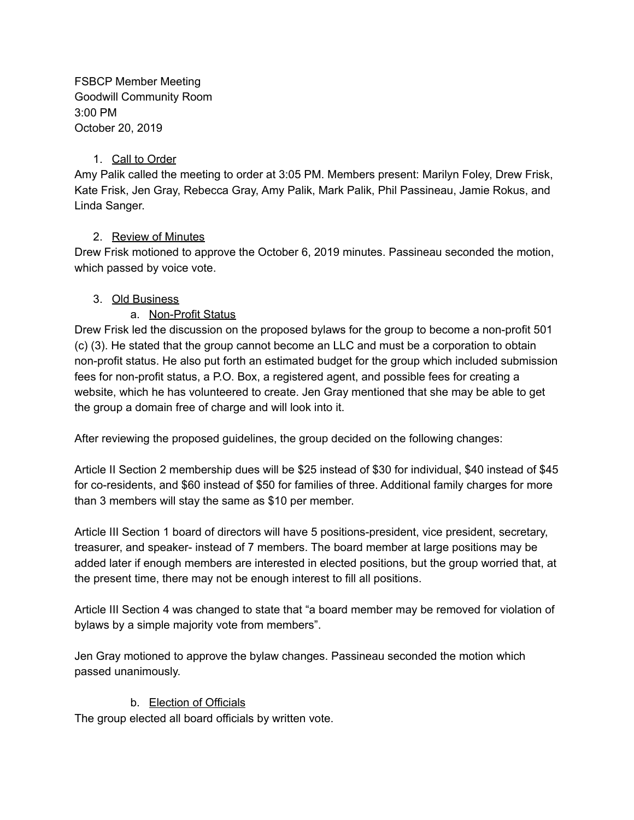FSBCP Member Meeting Goodwill Community Room 3:00 PM October 20, 2019

### 1. Call to Order

Amy Palik called the meeting to order at 3:05 PM. Members present: Marilyn Foley, Drew Frisk, Kate Frisk, Jen Gray, Rebecca Gray, Amy Palik, Mark Palik, Phil Passineau, Jamie Rokus, and Linda Sanger.

## 2. Review of Minutes

Drew Frisk motioned to approve the October 6, 2019 minutes. Passineau seconded the motion, which passed by voice vote.

### 3. Old Business

a. Non-Profit Status

Drew Frisk led the discussion on the proposed bylaws for the group to become a non-profit 501 (c) (3). He stated that the group cannot become an LLC and must be a corporation to obtain non-profit status. He also put forth an estimated budget for the group which included submission fees for non-profit status, a P.O. Box, a registered agent, and possible fees for creating a website, which he has volunteered to create. Jen Gray mentioned that she may be able to get the group a domain free of charge and will look into it.

After reviewing the proposed guidelines, the group decided on the following changes:

Article II Section 2 membership dues will be \$25 instead of \$30 for individual, \$40 instead of \$45 for co-residents, and \$60 instead of \$50 for families of three. Additional family charges for more than 3 members will stay the same as \$10 per member.

Article III Section 1 board of directors will have 5 positions-president, vice president, secretary, treasurer, and speaker- instead of 7 members. The board member at large positions may be added later if enough members are interested in elected positions, but the group worried that, at the present time, there may not be enough interest to fill all positions.

Article III Section 4 was changed to state that "a board member may be removed for violation of bylaws by a simple majority vote from members".

Jen Gray motioned to approve the bylaw changes. Passineau seconded the motion which passed unanimously.

## b. Election of Officials

The group elected all board officials by written vote.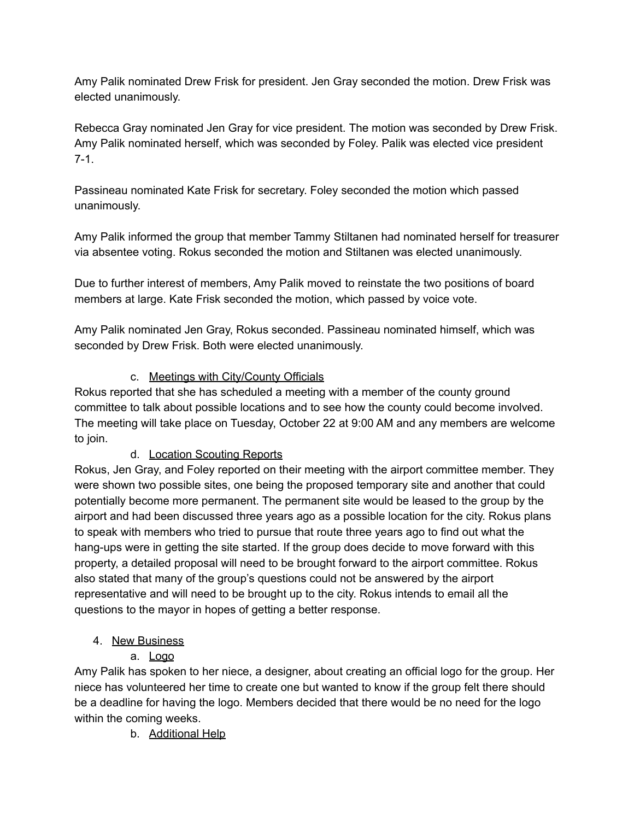Amy Palik nominated Drew Frisk for president. Jen Gray seconded the motion. Drew Frisk was elected unanimously.

Rebecca Gray nominated Jen Gray for vice president. The motion was seconded by Drew Frisk. Amy Palik nominated herself, which was seconded by Foley. Palik was elected vice president 7-1.

Passineau nominated Kate Frisk for secretary. Foley seconded the motion which passed unanimously.

Amy Palik informed the group that member Tammy Stiltanen had nominated herself for treasurer via absentee voting. Rokus seconded the motion and Stiltanen was elected unanimously.

Due to further interest of members, Amy Palik moved to reinstate the two positions of board members at large. Kate Frisk seconded the motion, which passed by voice vote.

Amy Palik nominated Jen Gray, Rokus seconded. Passineau nominated himself, which was seconded by Drew Frisk. Both were elected unanimously.

# c. Meetings with City/County Officials

Rokus reported that she has scheduled a meeting with a member of the county ground committee to talk about possible locations and to see how the county could become involved. The meeting will take place on Tuesday, October 22 at 9:00 AM and any members are welcome to join.

## d. Location Scouting Reports

Rokus, Jen Gray, and Foley reported on their meeting with the airport committee member. They were shown two possible sites, one being the proposed temporary site and another that could potentially become more permanent. The permanent site would be leased to the group by the airport and had been discussed three years ago as a possible location for the city. Rokus plans to speak with members who tried to pursue that route three years ago to find out what the hang-ups were in getting the site started. If the group does decide to move forward with this property, a detailed proposal will need to be brought forward to the airport committee. Rokus also stated that many of the group's questions could not be answered by the airport representative and will need to be brought up to the city. Rokus intends to email all the questions to the mayor in hopes of getting a better response.

## 4. New Business

a. Logo

Amy Palik has spoken to her niece, a designer, about creating an official logo for the group. Her niece has volunteered her time to create one but wanted to know if the group felt there should be a deadline for having the logo. Members decided that there would be no need for the logo within the coming weeks.

b. Additional Help